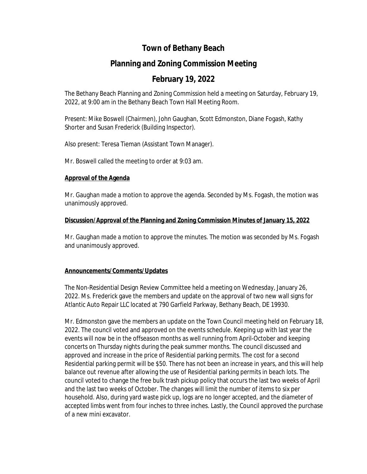# **Town of Bethany Beach**

# **Planning and Zoning Commission Meeting**

# **February 19, 2022**

The Bethany Beach Planning and Zoning Commission held a meeting on Saturday, February 19, 2022, at 9:00 am in the Bethany Beach Town Hall Meeting Room.

Present: Mike Boswell (Chairmen), John Gaughan, Scott Edmonston, Diane Fogash, Kathy Shorter and Susan Frederick (Building Inspector).

Also present: Teresa Tieman (Assistant Town Manager).

Mr. Boswell called the meeting to order at 9:03 am.

## **Approval of the Agenda**

Mr. Gaughan made a motion to approve the agenda. Seconded by Ms. Fogash, the motion was unanimously approved.

## **Discussion/Approval of the Planning and Zoning Commission Minutes of January 15, 2022**

Mr. Gaughan made a motion to approve the minutes. The motion was seconded by Ms. Fogash and unanimously approved.

## **Announcements/Comments/Updates**

The Non-Residential Design Review Committee held a meeting on Wednesday, January 26, 2022. Ms. Frederick gave the members and update on the approval of two new wall signs for Atlantic Auto Repair LLC located at 790 Garfield Parkway, Bethany Beach, DE 19930.

Mr. Edmonston gave the members an update on the Town Council meeting held on February 18, 2022. The council voted and approved on the events schedule. Keeping up with last year the events will now be in the offseason months as well running from April-October and keeping concerts on Thursday nights during the peak summer months. The council discussed and approved and increase in the price of Residential parking permits. The cost for a second Residential parking permit will be \$50. There has not been an increase in years, and this will help balance out revenue after allowing the use of Residential parking permits in beach lots. The council voted to change the free bulk trash pickup policy that occurs the last two weeks of April and the last two weeks of October. The changes will limit the number of items to six per household. Also, during yard waste pick up, logs are no longer accepted, and the diameter of accepted limbs went from four inches to three inches. Lastly, the Council approved the purchase of a new mini excavator.